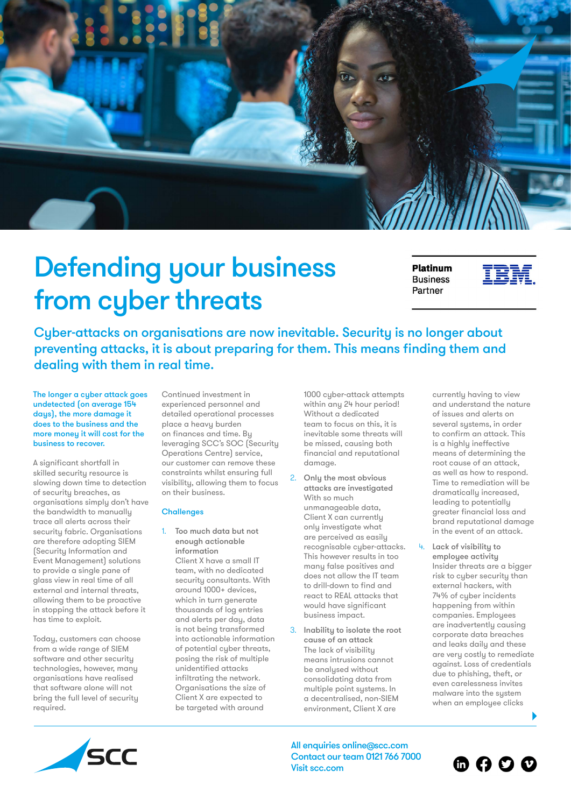

## Defending your business from cyber threats

**Platinum Business** Partner



Cyber-attacks on organisations are now inevitable. Security is no longer about preventing attacks, it is about preparing for them. This means finding them and dealing with them in real time.

The longer a cyber attack goes undetected (on average 154 days), the more damage it does to the business and the more money it will cost for the business to recover.

A significant shortfall in skilled security resource is slowing down time to detection of security breaches, as organisations simply don't have the bandwidth to manually trace all alerts across their security fabric. Organisations are therefore adopting SIEM (Security Information and Event Management) solutions to provide a single pane of glass view in real time of all external and internal threats, allowing them to be proactive in stopping the attack before it has time to exploit.

Today, customers can choose from a wide range of SIEM software and other security technologies, however, many organisations have realised that software alone will not bring the full level of security required.

Continued investment in experienced personnel and detailed operational processes place a heavy burden on finances and time. By leveraging SCC's SOC (Security Operations Centre) service, our customer can remove these constraints whilst ensuring full visibility, allowing them to focus on their business.

## **Challenges**

1. Too much data but not enough actionable information Client X have a small IT team, with no dedicated security consultants. With around 1000+ devices, which in turn generate thousands of log entries and alerts per day, data is not being transformed into actionable information of potential cyber threats, posing the risk of multiple unidentified attacks infiltrating the network. Organisations the size of Client X are expected to be targeted with around

1000 cyber-attack attempts within any 24 hour period! Without a dedicated team to focus on this, it is inevitable some threats will be missed, causing both financial and reputational damage.

- 2. Only the most obvious attacks are investigated With so much unmanageable data, Client X can currently only investigate what are perceived as easily recognisable cyber-attacks. This however results in too many false positives and does not allow the IT team to drill-down to find and react to REAL attacks that would have significant business impact.
- 3. Inability to isolate the root cause of an attack The lack of visibility means intrusions cannot be analysed without consolidating data from multiple point systems. In a decentralised, non-SIEM environment, Client X are

currently having to view and understand the nature of issues and alerts on several systems, in order to confirm an attack. This is a highly ineffective means of determining the root cause of an attack, as well as how to respond. Time to remediation will be dramatically increased, leading to potentially greater financial loss and brand reputational damage in the event of an attack.

Lack of visibility to employee activity Insider threats are a bigger risk to cuber security than external hackers, with 74% of cyber incidents happening from within companies. Employees are inadvertently causing corporate data breaches and leaks daily and these are very costly to remediate against. Loss of credentials due to phishing, theft, or even carelessness invites malware into the system when an employee clicks



All enquiries onlin[e@scc.com](mailto:info%40scc-ds.com?subject=) Contact our team 0121 766 7000 Visit [scc.com](https://www.scc-ds.com)